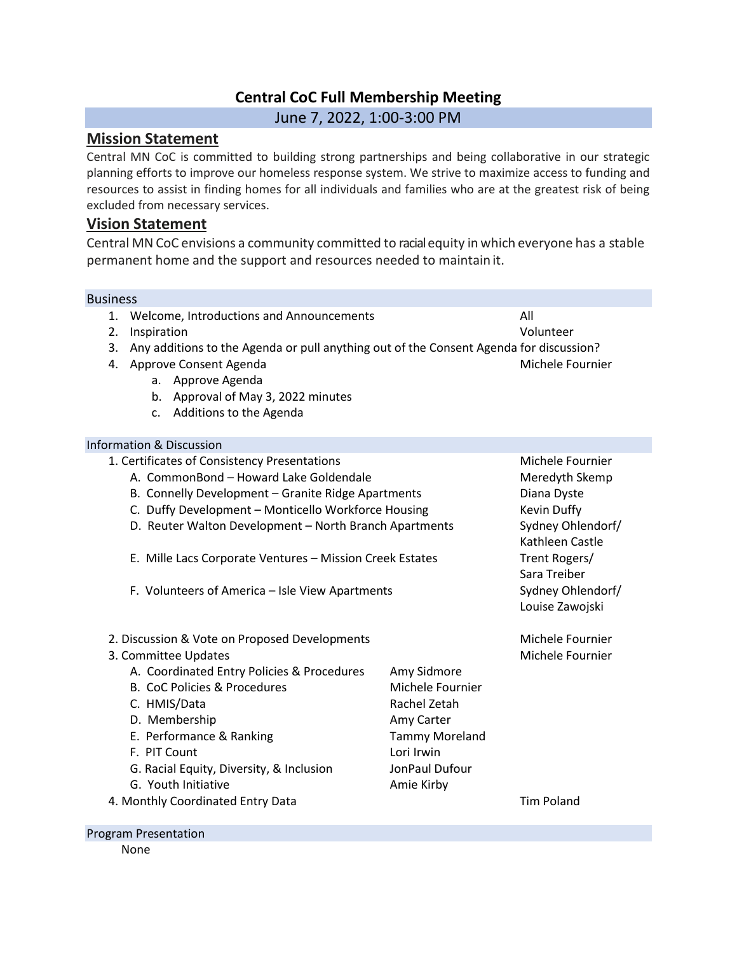# **Central CoC Full Membership Meeting**

June 7, 2022, 1:00-3:00 PM

## **Mission Statement**

Central MN CoC is committed to building strong partnerships and being collaborative in our strategic planning efforts to improve our homeless response system. We strive to maximize access to funding and resources to assist in finding homes for all individuals and families who are at the greatest risk of being excluded from necessary services.

# **Vision Statement**

Central MN CoC envisions a community committed to racialequity in which everyone has a stable permanent home and the support and resources needed to maintain it.

### Business

- 1. Welcome, Introductions and Announcements All
- 2. Inspiration Volunteer
- 3. Any additions to the Agenda or pull anything out of the Consent Agenda for discussion?
- 4. Approve Consent Agenda Michele Fournier
	- a. Approve Agenda
	- b. Approval of May 3, 2022 minutes
	- c. Additions to the Agenda

### Information & Discussion

- 1. Certificates of Consistency Presentations Michele Fournier
	- A. CommonBond Howard Lake Goldendale entitled and the Meredyth Skemp
	- B. Connelly Development Granite Ridge Apartments **Diana Dystems** Diana Dyste
	- C. Duffy Development Monticello Workforce Housing Kevin Duffy
	- D. Reuter Walton Development North Branch Apartments Sydney Ohlendorf/
	- E. Mille Lacs Corporate Ventures Mission Creek Estates Trent Rogers/
	- F. Volunteers of America Isle View Apartments Summan Sydney Ohlendorf/
- 2. Discussion & Vote on Proposed Developments Michele Fournier
- 3. Committee Updates Michele Fournier
	- A. Coordinated Entry Policies & Procedures Amy Sidmore
	- B. CoC Policies & Procedures Michele Fournier
	- C. HMIS/Data Rachel Zetah
	- D. Membership **Amy Carter** Amy Carter
	- E. Performance & Ranking Tammy Moreland
	- F. PIT Count Lori Irwin
	- G. Racial Equity, Diversity, & Inclusion JonPaul Dufour
	- G. Youth Initiative **Amie Kirby** Amie Kirby
- 4. Monthly Coordinated Entry Data Tim Poland
- 

Kathleen Castle

Louise Zawojski

Sara Treiber

#### Program Presentation

#### None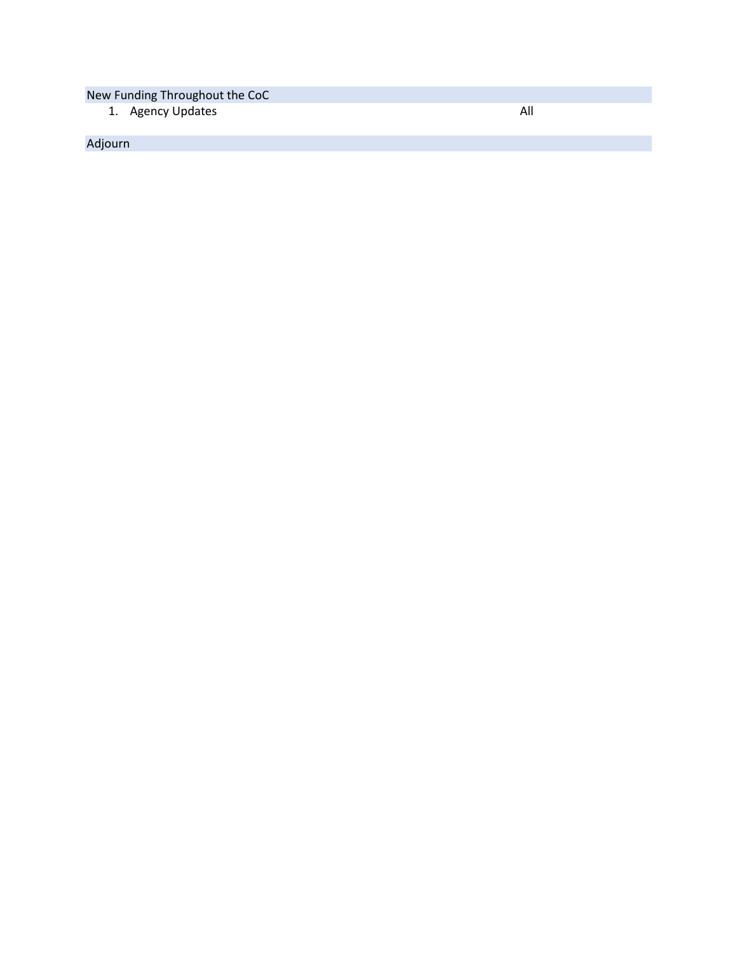New Funding Throughout the CoC

1. Agency Updates

Adjourn

All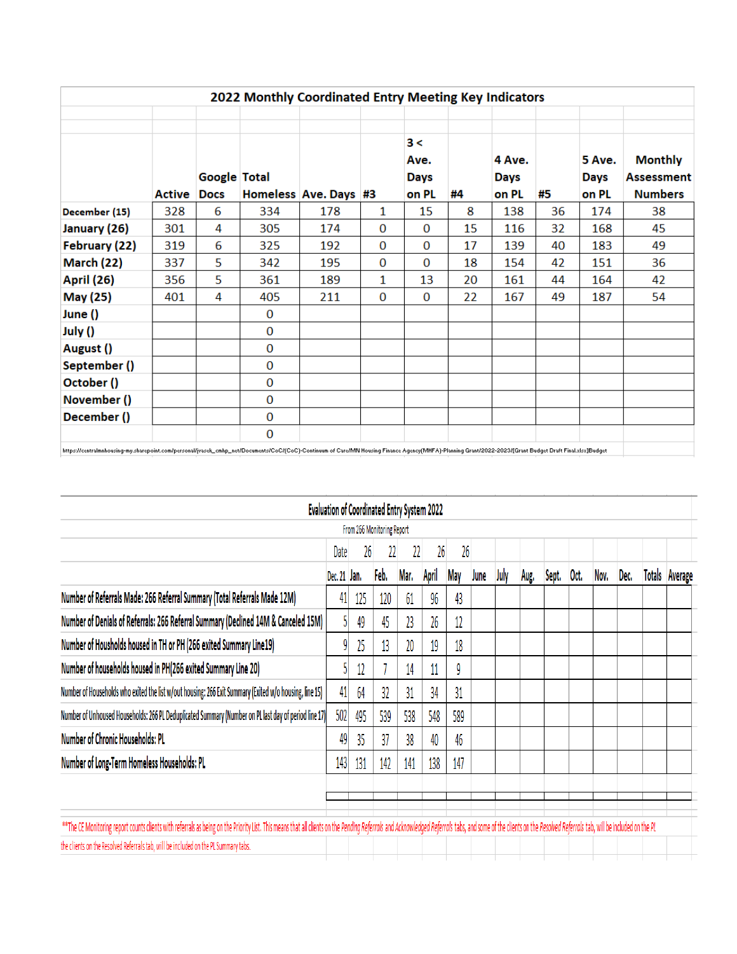|                   |               |                     |          | 2022 Monthly Coordinated Entry Meeting Key Indicators |   |                            |    |                |    |                |                                     |
|-------------------|---------------|---------------------|----------|-------------------------------------------------------|---|----------------------------|----|----------------|----|----------------|-------------------------------------|
|                   |               | <b>Google Total</b> |          |                                                       |   | 3 <<br>Ave.<br><b>Days</b> |    | 4 Ave.<br>Days |    | 5 Ave.<br>Days | <b>Monthly</b><br><b>Assessment</b> |
|                   | <b>Active</b> | <b>Docs</b>         |          | Homeless Ave. Days #3                                 |   | on PL                      | #4 | on PL          | #5 | on PL          | <b>Numbers</b>                      |
| December (15)     | 328           | 6                   | 334      | 178                                                   | 1 | 15                         | 8  | 138            | 36 | 174            | 38                                  |
| January (26)      | 301           | 4                   | 305      | 174                                                   | 0 | 0                          | 15 | 116            | 32 | 168            | 45                                  |
| February (22)     | 319           | 6                   | 325      | 192                                                   | 0 | 0                          | 17 | 139            | 40 | 183            | 49                                  |
| <b>March (22)</b> | 337           | 5                   | 342      | 195                                                   | 0 | 0                          | 18 | 154            | 42 | 151            | 36                                  |
| <b>April (26)</b> | 356           | 5                   | 361      | 189                                                   | 1 | 13                         | 20 | 161            | 44 | 164            | 42                                  |
| May (25)          | 401           | 4                   | 405      | 211                                                   | 0 | 0                          | 22 | 167            | 49 | 187            | 54                                  |
| June ()           |               |                     | $\bf{0}$ |                                                       |   |                            |    |                |    |                |                                     |
| July ()           |               |                     | 0        |                                                       |   |                            |    |                |    |                |                                     |
| August ()         |               |                     | $\bf{0}$ |                                                       |   |                            |    |                |    |                |                                     |
| September ()      |               |                     | 0        |                                                       |   |                            |    |                |    |                |                                     |
| October ()        |               |                     | 0        |                                                       |   |                            |    |                |    |                |                                     |
| November ()       |               |                     | $\bf{0}$ |                                                       |   |                            |    |                |    |                |                                     |
| December ()       |               |                     | 0        |                                                       |   |                            |    |                |    |                |                                     |
|                   |               |                     | $\Omega$ |                                                       |   |                            |    |                |    |                |                                     |

|                                                                                                                                                                                                                                |              | <b>Evaluation of Coordinated Entry System 2022</b> |      |      |       |            |      |      |      |       |      |      |      |  |                       |
|--------------------------------------------------------------------------------------------------------------------------------------------------------------------------------------------------------------------------------|--------------|----------------------------------------------------|------|------|-------|------------|------|------|------|-------|------|------|------|--|-----------------------|
| From 266 Monitoring Report                                                                                                                                                                                                     |              |                                                    |      |      |       |            |      |      |      |       |      |      |      |  |                       |
|                                                                                                                                                                                                                                | Date         | 26                                                 |      |      | 26    | 26         |      |      |      |       |      |      |      |  |                       |
|                                                                                                                                                                                                                                | Dec. 21 Jan. |                                                    | Feb. | Mar. | April | <b>May</b> | June | July | Aug. | Sept. | Oct. | Nov. | Dec. |  | <b>Totals Average</b> |
| Number of Referrals Made: 266 Referral Summary (Total Referrals Made 12M)                                                                                                                                                      | 41           | 125                                                | 120  | 61   | 96    | 43         |      |      |      |       |      |      |      |  |                       |
| Number of Denials of Referrals: 266 Referral Summary (Declined 14M & Canceled 15M)                                                                                                                                             |              | 49                                                 | 45   | 23   | 26    | 12         |      |      |      |       |      |      |      |  |                       |
| Number of Housholds housed in TH or PH (266 exited Summary Line19)                                                                                                                                                             | 91           | 25                                                 | 13   | 20   | 19    | 18         |      |      |      |       |      |      |      |  |                       |
| Number of households housed in PH(266 exited Summary Line 20)                                                                                                                                                                  |              | 12                                                 |      | 14   | 11    | 9          |      |      |      |       |      |      |      |  |                       |
| Number of Households who exited the list w/out housing: 266 Exit Summary (Exited w/o housing, line 15)                                                                                                                         | 41           | 64                                                 | 32   | 31   | 34    | 31         |      |      |      |       |      |      |      |  |                       |
| Number of Unhoused Households: 266 PL Deduplicated Summary (Number on PL last day of period line 17)                                                                                                                           | 502          | 495                                                | 539  | 538  | 548   | 589        |      |      |      |       |      |      |      |  |                       |
| <b>Number of Chronic Households: PL</b>                                                                                                                                                                                        | 49           | 35                                                 | 37   | 38   | 40    | 46         |      |      |      |       |      |      |      |  |                       |
| Number of Long-Term Homeless Households: PL                                                                                                                                                                                    | 143          | 131                                                | 142  | 141  | 138   | 147        |      |      |      |       |      |      |      |  |                       |
|                                                                                                                                                                                                                                |              |                                                    |      |      |       |            |      |      |      |       |      |      |      |  |                       |
|                                                                                                                                                                                                                                |              |                                                    |      |      |       |            |      |      |      |       |      |      |      |  |                       |
| ** The CE Monitoring report counts clients with referrals as being on the Priority List. This means that all clients on the Pending Referrals and Acknowledged Referrals tabs, and some of the clients on the Resolved Referra |              |                                                    |      |      |       |            |      |      |      |       |      |      |      |  |                       |
| the clients on the Resolved Referrals tab, will be included on the PL Summary tabs.                                                                                                                                            |              |                                                    |      |      |       |            |      |      |      |       |      |      |      |  |                       |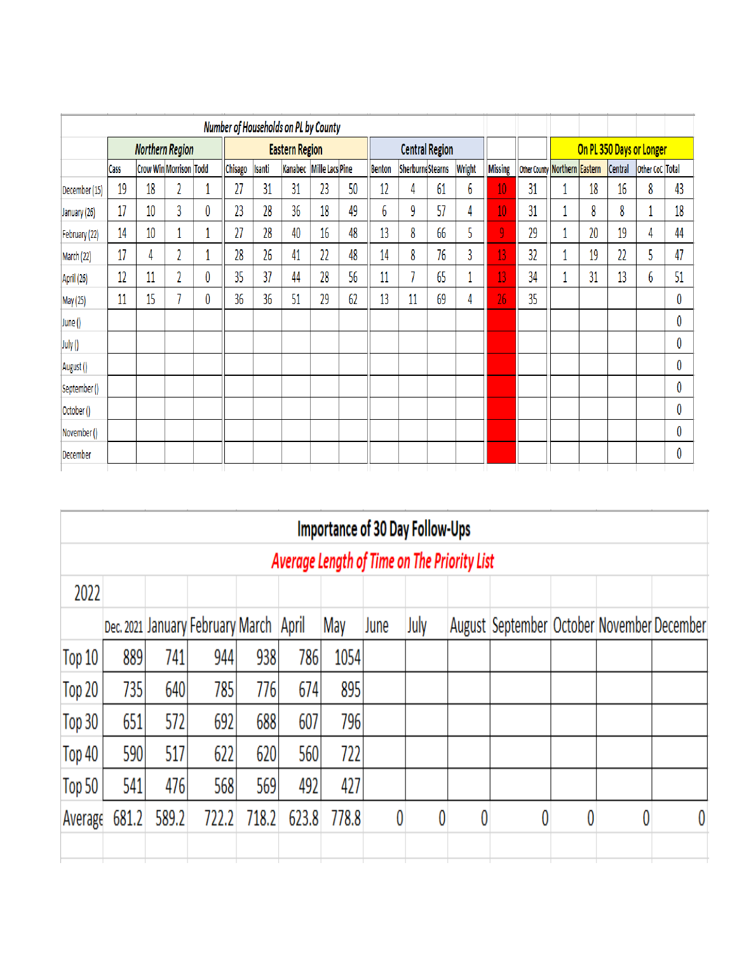|               |      |                               |   |   |                       |        | Number of Households on PL by County |                         |                       |               |                         |    |               |         |                               |  |    |         |                 |    |
|---------------|------|-------------------------------|---|---|-----------------------|--------|--------------------------------------|-------------------------|-----------------------|---------------|-------------------------|----|---------------|---------|-------------------------------|--|----|---------|-----------------|----|
|               |      | <b>Northern Region</b>        |   |   | <b>Eastern Region</b> |        |                                      |                         | <b>Central Region</b> |               |                         |    |               |         | On PL 350 Days or Longer      |  |    |         |                 |    |
|               | Cass | <b>Crow Win Morrison Todd</b> |   |   | Chisago               | Isanti |                                      | Kanabec Mille Lacs Pine |                       | <b>Benton</b> | <b>SherburneStearns</b> |    | <b>Wright</b> | Missing | Other County Northern Eastern |  |    | Central | Other CoC Total |    |
| December (15) | 19   | 18                            |   |   | 27                    | 31     | 31                                   | 23                      | 50                    | 12            | 4                       | 61 | 6             | 10      | 31                            |  | 18 | 16      | 8               | 43 |
| January (26)  | 17   | 10                            | 3 | 0 | 23                    | 28     | 36                                   | 18                      | 49                    | 6             | 9                       | 57 | 4             | 10      | 31                            |  | 8  | 8       | 1               | 18 |
| February (22) | 14   | 10                            |   |   | 27                    | 28     | 40                                   | 16                      | 48                    | 13            | 8                       | 66 | 5             | 9       | 29                            |  | 20 | 19      | 4               | 44 |
| March (22)    | 17   | 4                             | n |   | 28                    | 26     | 41                                   | 22                      | 48                    | 14            | 8                       | 76 | 3             | 13      | 32                            |  | 19 | 22      | 5               | 47 |
| April (26)    | 12   | 11                            | n | 0 | 35                    | 37     | 44                                   | 28                      | 56                    | 11            |                         | 65 |               | 13      | 34                            |  | 31 | 13      | 6               | 51 |
| May (25)      | 11   | 15                            |   | 0 | 36                    | 36     | 51                                   | 29                      | 62                    | 13            | 11                      | 69 | 4             | 26      | 35                            |  |    |         |                 | 0  |
| June ()       |      |                               |   |   |                       |        |                                      |                         |                       |               |                         |    |               |         |                               |  |    |         |                 | 0  |
| July ()       |      |                               |   |   |                       |        |                                      |                         |                       |               |                         |    |               |         |                               |  |    |         |                 | 0  |
| August ()     |      |                               |   |   |                       |        |                                      |                         |                       |               |                         |    |               |         |                               |  |    |         |                 | 0  |
| September ()  |      |                               |   |   |                       |        |                                      |                         |                       |               |                         |    |               |         |                               |  |    |         |                 | 0  |
| October()     |      |                               |   |   |                       |        |                                      |                         |                       |               |                         |    |               |         |                               |  |    |         |                 | 0  |
| November ()   |      |                               |   |   |                       |        |                                      |                         |                       |               |                         |    |               |         |                               |  |    |         |                 | 0  |
| December      |      |                               |   |   |                       |        |                                      |                         |                       |               |                         |    |               |         |                               |  |    |         |                 | 0  |

|            |                                             |       |                                        |       |       |       | <b>Importance of 30 Day Follow-Ups</b> |      |   |                                                |   |   |  |  |  |
|------------|---------------------------------------------|-------|----------------------------------------|-------|-------|-------|----------------------------------------|------|---|------------------------------------------------|---|---|--|--|--|
|            | Average Length of Time on The Priority List |       |                                        |       |       |       |                                        |      |   |                                                |   |   |  |  |  |
| 2022       |                                             |       |                                        |       |       |       |                                        |      |   |                                                |   |   |  |  |  |
|            |                                             |       | Dec. 2021 January February March April |       |       | May   | June                                   | July |   | August September   October   November December |   |   |  |  |  |
| Top 10     | 889                                         | 741   | 944                                    | 938   | 786   | 1054  |                                        |      |   |                                                |   |   |  |  |  |
| Top $20$   | 735                                         | 640   | 785                                    | 776   | 674   | 895   |                                        |      |   |                                                |   |   |  |  |  |
| Top 30     | 651                                         | 572   | 692                                    | 688   | 607   | 796   |                                        |      |   |                                                |   |   |  |  |  |
| Top 40     | 590                                         | 517   | 622                                    | 620   | 560   | 722   |                                        |      |   |                                                |   |   |  |  |  |
| Top 50 $ $ | 541                                         | 476   | 568                                    | 569   | 492   | 427   |                                        |      |   |                                                |   |   |  |  |  |
| Average    | 681.2                                       | 589.2 | 722.2                                  | 718.2 | 623.8 | 778.8 | 0                                      | 0    | 0 |                                                | 0 | 0 |  |  |  |
|            |                                             |       |                                        |       |       |       |                                        |      |   |                                                |   |   |  |  |  |